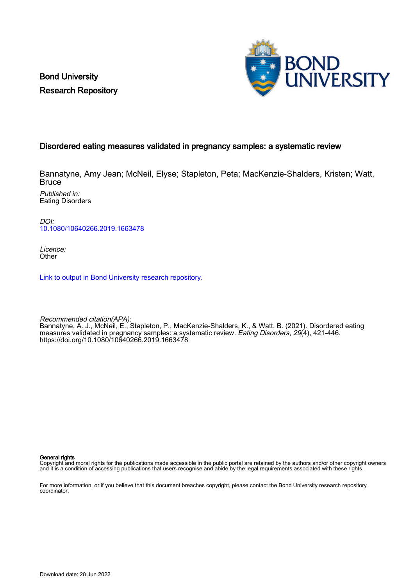Bond University Research Repository



# Disordered eating measures validated in pregnancy samples: a systematic review

Bannatyne, Amy Jean; McNeil, Elyse; Stapleton, Peta; MacKenzie-Shalders, Kristen; Watt, **Bruce** 

Published in: Eating Disorders

DOI: [10.1080/10640266.2019.1663478](https://doi.org/10.1080/10640266.2019.1663478)

Licence: **Other** 

[Link to output in Bond University research repository.](https://research.bond.edu.au/en/publications/6eb1210e-b2ec-4e2b-9c50-b787e53f0e61)

Recommended citation(APA): Bannatyne, A. J., McNeil, E., Stapleton, P., MacKenzie-Shalders, K., & Watt, B. (2021). Disordered eating measures validated in pregnancy samples: a systematic review. *Eating Disorders, 29*(4), 421-446. <https://doi.org/10.1080/10640266.2019.1663478>

General rights

Copyright and moral rights for the publications made accessible in the public portal are retained by the authors and/or other copyright owners and it is a condition of accessing publications that users recognise and abide by the legal requirements associated with these rights.

For more information, or if you believe that this document breaches copyright, please contact the Bond University research repository coordinator.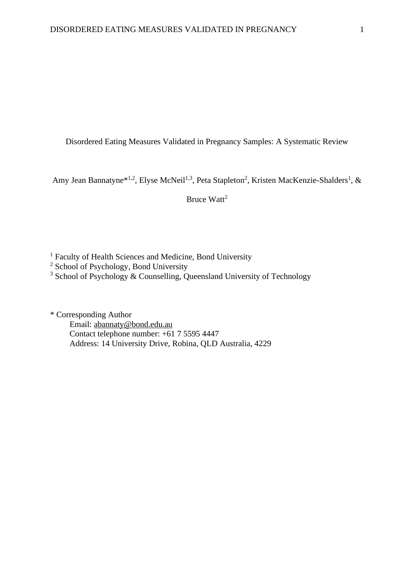Disordered Eating Measures Validated in Pregnancy Samples: A Systematic Review

Amy Jean Bannatyne\*<sup>1,2</sup>, Elyse McNeil<sup>1,3</sup>, Peta Stapleton<sup>2</sup>, Kristen MacKenzie-Shalders<sup>1</sup>, &

Bruce  $W$ att<sup>2</sup>

<sup>1</sup> Faculty of Health Sciences and Medicine, Bond University

<sup>2</sup> School of Psychology, Bond University

 $3$  School of Psychology & Counselling, Queensland University of Technology

\* Corresponding Author Email: [abannaty@bond.edu.au](mailto:abannaty@bond.edu.au) Contact telephone number: +61 7 5595 4447 Address: 14 University Drive, Robina, QLD Australia, 4229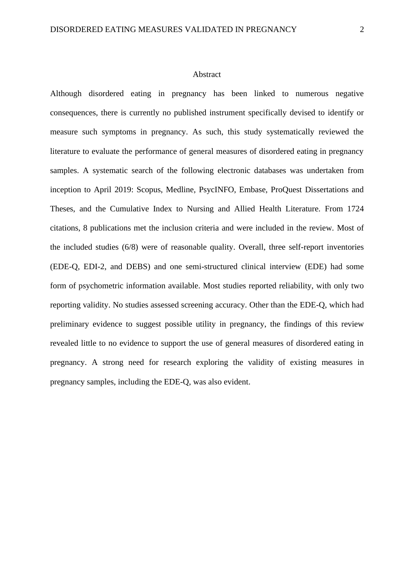#### Abstract

Although disordered eating in pregnancy has been linked to numerous negative consequences, there is currently no published instrument specifically devised to identify or measure such symptoms in pregnancy. As such, this study systematically reviewed the literature to evaluate the performance of general measures of disordered eating in pregnancy samples. A systematic search of the following electronic databases was undertaken from inception to April 2019: Scopus, Medline, PsycINFO, Embase, ProQuest Dissertations and Theses, and the Cumulative Index to Nursing and Allied Health Literature. From 1724 citations, 8 publications met the inclusion criteria and were included in the review. Most of the included studies (6/8) were of reasonable quality. Overall, three self-report inventories (EDE-Q, EDI-2, and DEBS) and one semi-structured clinical interview (EDE) had some form of psychometric information available. Most studies reported reliability, with only two reporting validity. No studies assessed screening accuracy. Other than the EDE-Q, which had preliminary evidence to suggest possible utility in pregnancy, the findings of this review revealed little to no evidence to support the use of general measures of disordered eating in pregnancy. A strong need for research exploring the validity of existing measures in pregnancy samples, including the EDE-Q, was also evident.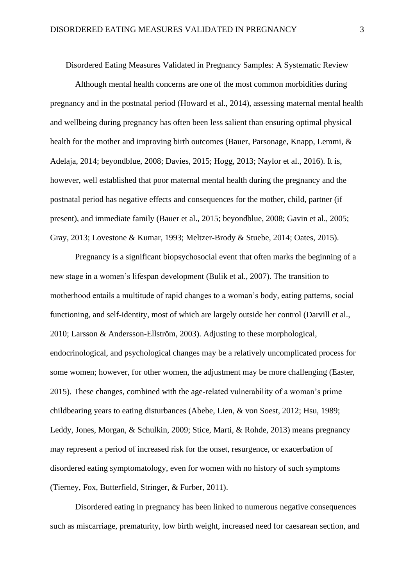Disordered Eating Measures Validated in Pregnancy Samples: A Systematic Review

Although mental health concerns are one of the most common morbidities during pregnancy and in the postnatal period (Howard et al., 2014), assessing maternal mental health and wellbeing during pregnancy has often been less salient than ensuring optimal physical health for the mother and improving birth outcomes (Bauer, Parsonage, Knapp, Lemmi, & Adelaja, 2014; beyondblue, 2008; Davies, 2015; Hogg, 2013; Naylor et al., 2016). It is, however, well established that poor maternal mental health during the pregnancy and the postnatal period has negative effects and consequences for the mother, child, partner (if present), and immediate family (Bauer et al., 2015; beyondblue, 2008; Gavin et al., 2005; Gray, 2013; Lovestone & Kumar, 1993; Meltzer-Brody & Stuebe, 2014; Oates, 2015).

Pregnancy is a significant biopsychosocial event that often marks the beginning of a new stage in a women's lifespan development (Bulik et al., 2007). The transition to motherhood entails a multitude of rapid changes to a woman's body, eating patterns, social functioning, and self-identity, most of which are largely outside her control (Darvill et al., 2010; Larsson & Andersson-Ellström, 2003). Adjusting to these morphological, endocrinological, and psychological changes may be a relatively uncomplicated process for some women; however, for other women, the adjustment may be more challenging (Easter, 2015). These changes, combined with the age-related vulnerability of a woman's prime childbearing years to eating disturbances (Abebe, Lien, & von Soest, 2012; Hsu, 1989; Leddy, Jones, Morgan, & Schulkin, 2009; Stice, Marti, & Rohde, 2013) means pregnancy may represent a period of increased risk for the onset, resurgence, or exacerbation of disordered eating symptomatology, even for women with no history of such symptoms (Tierney, Fox, Butterfield, Stringer, & Furber, 2011).

Disordered eating in pregnancy has been linked to numerous negative consequences such as miscarriage, prematurity, low birth weight, increased need for caesarean section, and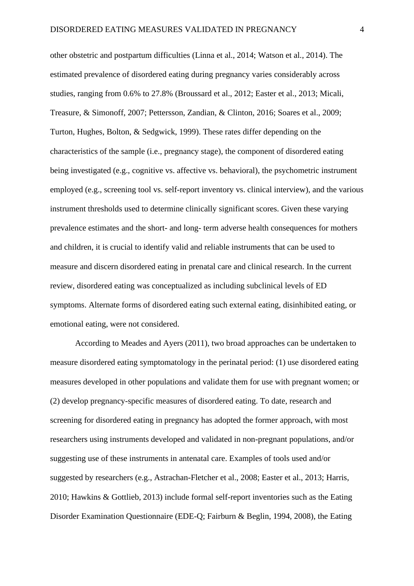other obstetric and postpartum difficulties (Linna et al., 2014; Watson et al., 2014). The estimated prevalence of disordered eating during pregnancy varies considerably across studies, ranging from 0.6% to 27.8% (Broussard et al., 2012; Easter et al., 2013; Micali, Treasure, & Simonoff, 2007; Pettersson, Zandian, & Clinton, 2016; Soares et al., 2009; Turton, Hughes, Bolton, & Sedgwick, 1999). These rates differ depending on the characteristics of the sample (i.e., pregnancy stage), the component of disordered eating being investigated (e.g., cognitive vs. affective vs. behavioral), the psychometric instrument employed (e.g., screening tool vs. self-report inventory vs. clinical interview), and the various instrument thresholds used to determine clinically significant scores. Given these varying prevalence estimates and the short- and long- term adverse health consequences for mothers and children, it is crucial to identify valid and reliable instruments that can be used to measure and discern disordered eating in prenatal care and clinical research. In the current review, disordered eating was conceptualized as including subclinical levels of ED symptoms. Alternate forms of disordered eating such external eating, disinhibited eating, or emotional eating, were not considered.

According to Meades and Ayers (2011), two broad approaches can be undertaken to measure disordered eating symptomatology in the perinatal period: (1) use disordered eating measures developed in other populations and validate them for use with pregnant women; or (2) develop pregnancy-specific measures of disordered eating. To date, research and screening for disordered eating in pregnancy has adopted the former approach, with most researchers using instruments developed and validated in non-pregnant populations, and/or suggesting use of these instruments in antenatal care. Examples of tools used and/or suggested by researchers (e.g., Astrachan-Fletcher et al., 2008; Easter et al., 2013; Harris, 2010; Hawkins & Gottlieb, 2013) include formal self-report inventories such as the Eating Disorder Examination Questionnaire (EDE-Q; Fairburn & Beglin, 1994, 2008), the Eating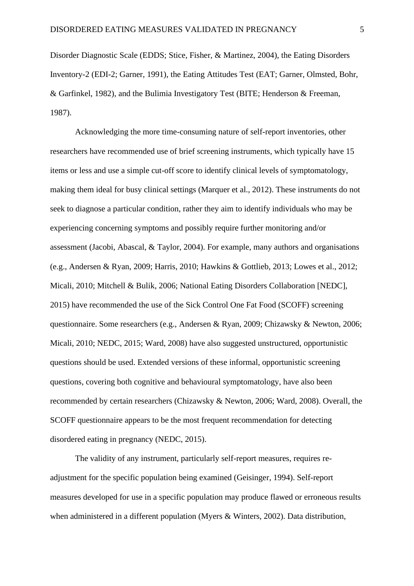Disorder Diagnostic Scale (EDDS; Stice, Fisher, & Martinez, 2004), the Eating Disorders Inventory-2 (EDI-2; Garner, 1991), the Eating Attitudes Test (EAT; Garner, Olmsted, Bohr, & Garfinkel, 1982), and the Bulimia Investigatory Test (BITE; Henderson & Freeman, 1987).

Acknowledging the more time-consuming nature of self-report inventories, other researchers have recommended use of brief screening instruments, which typically have 15 items or less and use a simple cut-off score to identify clinical levels of symptomatology, making them ideal for busy clinical settings (Marquer et al., 2012). These instruments do not seek to diagnose a particular condition, rather they aim to identify individuals who may be experiencing concerning symptoms and possibly require further monitoring and/or assessment (Jacobi, Abascal, & Taylor, 2004). For example, many authors and organisations (e.g., Andersen & Ryan, 2009; Harris, 2010; Hawkins & Gottlieb, 2013; Lowes et al., 2012; Micali, 2010; Mitchell & Bulik, 2006; National Eating Disorders Collaboration [NEDC], 2015) have recommended the use of the Sick Control One Fat Food (SCOFF) screening questionnaire. Some researchers (e.g., Andersen & Ryan, 2009; Chizawsky & Newton, 2006; Micali, 2010; NEDC, 2015; Ward, 2008) have also suggested unstructured, opportunistic questions should be used. Extended versions of these informal, opportunistic screening questions, covering both cognitive and behavioural symptomatology, have also been recommended by certain researchers (Chizawsky & Newton, 2006; Ward, 2008). Overall, the SCOFF questionnaire appears to be the most frequent recommendation for detecting disordered eating in pregnancy (NEDC, 2015).

The validity of any instrument, particularly self-report measures, requires readjustment for the specific population being examined (Geisinger, 1994). Self-report measures developed for use in a specific population may produce flawed or erroneous results when administered in a different population (Myers & Winters, 2002). Data distribution,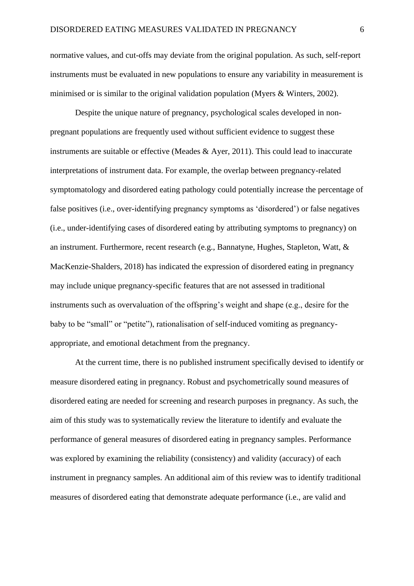normative values, and cut-offs may deviate from the original population. As such, self-report instruments must be evaluated in new populations to ensure any variability in measurement is minimised or is similar to the original validation population (Myers & Winters, 2002).

Despite the unique nature of pregnancy, psychological scales developed in nonpregnant populations are frequently used without sufficient evidence to suggest these instruments are suitable or effective (Meades & Ayer, 2011). This could lead to inaccurate interpretations of instrument data. For example, the overlap between pregnancy-related symptomatology and disordered eating pathology could potentially increase the percentage of false positives (i.e., over-identifying pregnancy symptoms as 'disordered') or false negatives (i.e., under-identifying cases of disordered eating by attributing symptoms to pregnancy) on an instrument. Furthermore, recent research (e.g., Bannatyne, Hughes, Stapleton, Watt, & MacKenzie-Shalders, 2018) has indicated the expression of disordered eating in pregnancy may include unique pregnancy-specific features that are not assessed in traditional instruments such as overvaluation of the offspring's weight and shape (e.g., desire for the baby to be "small" or "petite"), rationalisation of self-induced vomiting as pregnancyappropriate, and emotional detachment from the pregnancy.

At the current time, there is no published instrument specifically devised to identify or measure disordered eating in pregnancy. Robust and psychometrically sound measures of disordered eating are needed for screening and research purposes in pregnancy. As such, the aim of this study was to systematically review the literature to identify and evaluate the performance of general measures of disordered eating in pregnancy samples. Performance was explored by examining the reliability (consistency) and validity (accuracy) of each instrument in pregnancy samples. An additional aim of this review was to identify traditional measures of disordered eating that demonstrate adequate performance (i.e., are valid and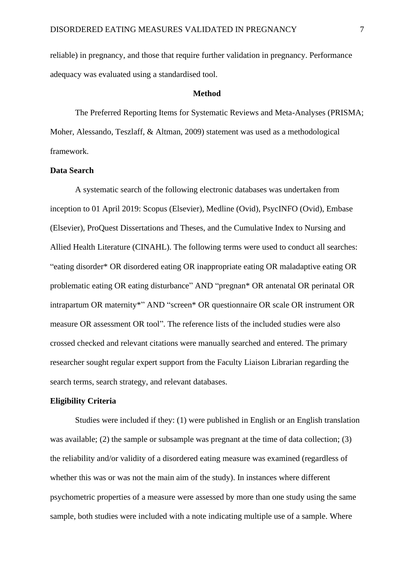reliable) in pregnancy, and those that require further validation in pregnancy. Performance adequacy was evaluated using a standardised tool.

#### **Method**

The Preferred Reporting Items for Systematic Reviews and Meta-Analyses (PRISMA; Moher, Alessando, Teszlaff, & Altman, 2009) statement was used as a methodological framework.

#### **Data Search**

A systematic search of the following electronic databases was undertaken from inception to 01 April 2019: Scopus (Elsevier), Medline (Ovid), PsycINFO (Ovid), Embase (Elsevier), ProQuest Dissertations and Theses, and the Cumulative Index to Nursing and Allied Health Literature (CINAHL). The following terms were used to conduct all searches: "eating disorder\* OR disordered eating OR inappropriate eating OR maladaptive eating OR problematic eating OR eating disturbance" AND "pregnan\* OR antenatal OR perinatal OR intrapartum OR maternity\*" AND "screen\* OR questionnaire OR scale OR instrument OR measure OR assessment OR tool". The reference lists of the included studies were also crossed checked and relevant citations were manually searched and entered. The primary researcher sought regular expert support from the Faculty Liaison Librarian regarding the search terms, search strategy, and relevant databases.

## **Eligibility Criteria**

Studies were included if they: (1) were published in English or an English translation was available; (2) the sample or subsample was pregnant at the time of data collection; (3) the reliability and/or validity of a disordered eating measure was examined (regardless of whether this was or was not the main aim of the study). In instances where different psychometric properties of a measure were assessed by more than one study using the same sample, both studies were included with a note indicating multiple use of a sample. Where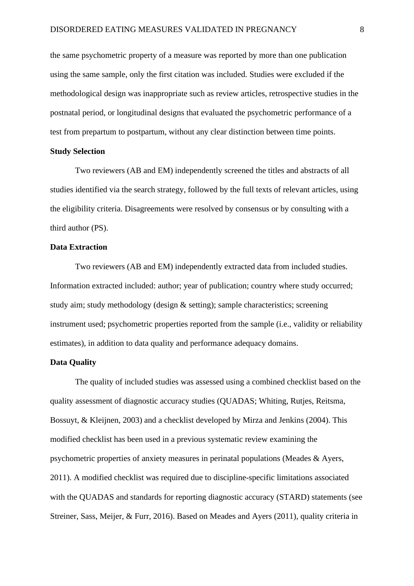the same psychometric property of a measure was reported by more than one publication using the same sample, only the first citation was included. Studies were excluded if the methodological design was inappropriate such as review articles, retrospective studies in the postnatal period, or longitudinal designs that evaluated the psychometric performance of a test from prepartum to postpartum, without any clear distinction between time points.

## **Study Selection**

Two reviewers (AB and EM) independently screened the titles and abstracts of all studies identified via the search strategy, followed by the full texts of relevant articles, using the eligibility criteria. Disagreements were resolved by consensus or by consulting with a third author (PS).

## **Data Extraction**

Two reviewers (AB and EM) independently extracted data from included studies. Information extracted included: author; year of publication; country where study occurred; study aim; study methodology (design & setting); sample characteristics; screening instrument used; psychometric properties reported from the sample (i.e., validity or reliability estimates), in addition to data quality and performance adequacy domains.

## **Data Quality**

The quality of included studies was assessed using a combined checklist based on the quality assessment of diagnostic accuracy studies (QUADAS; Whiting, Rutjes, Reitsma, Bossuyt, & Kleijnen, 2003) and a checklist developed by Mirza and Jenkins (2004). This modified checklist has been used in a previous systematic review examining the psychometric properties of anxiety measures in perinatal populations (Meades & Ayers, 2011). A modified checklist was required due to discipline-specific limitations associated with the QUADAS and standards for reporting diagnostic accuracy (STARD) statements (see Streiner, Sass, Meijer, & Furr, 2016). Based on Meades and Ayers (2011), quality criteria in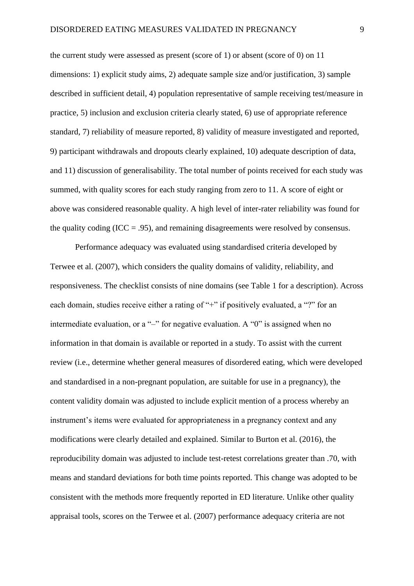the current study were assessed as present (score of 1) or absent (score of 0) on 11 dimensions: 1) explicit study aims, 2) adequate sample size and/or justification, 3) sample described in sufficient detail, 4) population representative of sample receiving test/measure in practice, 5) inclusion and exclusion criteria clearly stated, 6) use of appropriate reference standard, 7) reliability of measure reported, 8) validity of measure investigated and reported, 9) participant withdrawals and dropouts clearly explained, 10) adequate description of data, and 11) discussion of generalisability. The total number of points received for each study was summed, with quality scores for each study ranging from zero to 11. A score of eight or above was considered reasonable quality. A high level of inter-rater reliability was found for the quality coding (ICC = .95), and remaining disagreements were resolved by consensus.

Performance adequacy was evaluated using standardised criteria developed by Terwee et al. (2007), which considers the quality domains of validity, reliability, and responsiveness. The checklist consists of nine domains (see Table 1 for a description). Across each domain, studies receive either a rating of "+" if positively evaluated, a "?" for an intermediate evaluation, or a "–" for negative evaluation. A "0" is assigned when no information in that domain is available or reported in a study. To assist with the current review (i.e., determine whether general measures of disordered eating, which were developed and standardised in a non-pregnant population, are suitable for use in a pregnancy), the content validity domain was adjusted to include explicit mention of a process whereby an instrument's items were evaluated for appropriateness in a pregnancy context and any modifications were clearly detailed and explained. Similar to Burton et al. (2016), the reproducibility domain was adjusted to include test-retest correlations greater than .70, with means and standard deviations for both time points reported. This change was adopted to be consistent with the methods more frequently reported in ED literature. Unlike other quality appraisal tools, scores on the Terwee et al. (2007) performance adequacy criteria are not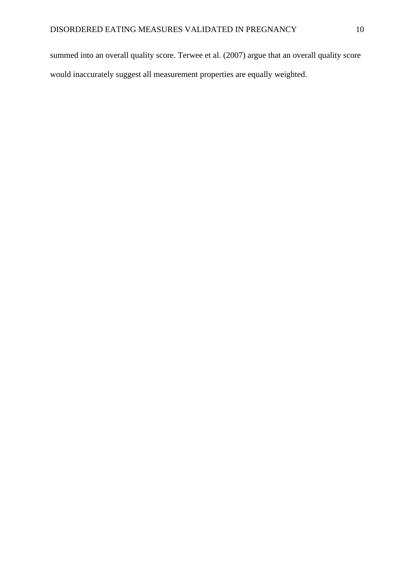summed into an overall quality score. Terwee et al. (2007) argue that an overall quality score would inaccurately suggest all measurement properties are equally weighted.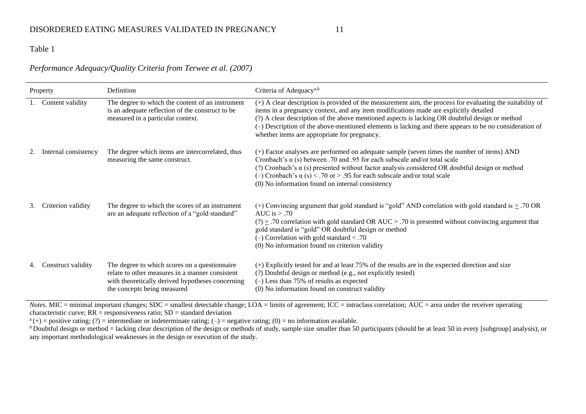# Table 1

## *Performance Adequacy/Quality Criteria from Terwee et al. (2007)*

| Property |                      | Definition                                                                                                                                                                          | Criteria of Adequacy <sup>a,b</sup>                                                                                                                                                                                                                                                                                                                                                                                                                            |
|----------|----------------------|-------------------------------------------------------------------------------------------------------------------------------------------------------------------------------------|----------------------------------------------------------------------------------------------------------------------------------------------------------------------------------------------------------------------------------------------------------------------------------------------------------------------------------------------------------------------------------------------------------------------------------------------------------------|
|          | Content validity     | The degree to which the content of an instrument<br>is an adequate reflection of the construct to be<br>measured in a particular context.                                           | (+) A clear description is provided of the measurement aim, the process for evaluating the suitability of<br>items in a pregnancy context, and any item modifications made are explicitly detailed<br>(?) A clear description of the above mentioned aspects is lacking OR doubtful design or method<br>(-) Description of the above-mentioned elements is lacking and there appears to be no consideration of<br>whether items are appropriate for pregnancy. |
|          | Internal consistency | The degree which items are intercorrelated, thus<br>measuring the same construct.                                                                                                   | (+) Factor analyses are performed on adequate sample (seven times the number of items) AND<br>Cronbach's $\alpha$ (s) between .70 and .95 for each subscale and/or total scale<br>(?) Cronbach's $\alpha$ (s) presented without factor analysis considered OR doubtful design or method<br>(-) Cronbach's $\alpha$ (s) < .70 or > .95 for each subscale and/or total scale<br>(0) No information found on internal consistency                                 |
| 3.       | Criterion validity   | The degree to which the scores of an instrument<br>are an adequate reflection of a "gold standard"                                                                                  | (+) Convincing argument that gold standard is "gold" AND correlation with gold standard is $\geq$ .70 OR<br>AUC is $> .70$<br>$(?) \geq .70$ correlation with gold standard OR AUC > .70 is presented without convincing argument that<br>gold standard is "gold" OR doubtful design or method<br>$(-)$ Correlation with gold standard < .70<br>(0) No information found on criterion validity                                                                 |
|          | Construct validity   | The degree to which scores on a questionnaire<br>relate to other measures in a manner consistent<br>with theoretically derived hypotheses concerning<br>the concepts being measured | (+) Explicitly tested for and at least 75% of the results are in the expected direction and size<br>(?) Doubtful design or method (e.g., not explicitly tested)<br>$(-)$ Less than 75% of results as expected<br>(0) No information found on construct validity                                                                                                                                                                                                |

*Notes*. MIC = minimal important changes; SDC = smallest detectable change; LOA = limits of agreement; ICC = intraclass correlation; AUC = area under the receiver operating characteristic curve;  $RR =$  responsiveness ratio;  $SD =$  standard deviation

 $a^{(+)}$  = positive rating; (?) = intermediate or indeterminate rating; (-) = negative rating; (0) = no information available.

 $\overline{b}$  Doubtful design or method = lacking clear description of the design or methods of study, sample size smaller than 50 participants (should be at least 50 in every [subgroup] analysis), or any important methodological weaknesses in the design or execution of the study.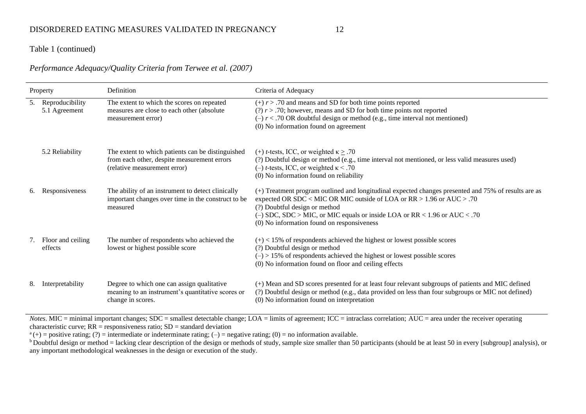## Table 1 (continued)

## *Performance Adequacy/Quality Criteria from Terwee et al. (2007)*

| Property |                                     | Definition                                                                                                                       | Criteria of Adequacy                                                                                                                                                                                                                                                                                                                            |
|----------|-------------------------------------|----------------------------------------------------------------------------------------------------------------------------------|-------------------------------------------------------------------------------------------------------------------------------------------------------------------------------------------------------------------------------------------------------------------------------------------------------------------------------------------------|
|          | 5. Reproducibility<br>5.1 Agreement | The extent to which the scores on repeated<br>measures are close to each other (absolute<br>measurement error)                   | $(+) r > .70$ and means and SD for both time points reported<br>(?) $r$ > .70; however, means and SD for both time points not reported<br>$(-) r < .70$ OR doubtful design or method (e.g., time interval not mentioned)<br>(0) No information found on agreement                                                                               |
|          | 5.2 Reliability                     | The extent to which patients can be distinguished<br>from each other, despite measurement errors<br>(relative measurement error) | (+) <i>t</i> -tests, ICC, or weighted $\kappa \geq .70$<br>(?) Doubtful design or method (e.g., time interval not mentioned, or less valid measures used)<br>(-) <i>t</i> -tests, ICC, or weighted $\kappa$ < .70<br>(0) No information found on reliability                                                                                    |
| 6.       | Responsiveness                      | The ability of an instrument to detect clinically<br>important changes over time in the construct to be<br>measured              | (+) Treatment program outlined and longitudinal expected changes presented and 75% of results are as<br>expected OR SDC < MIC OR MIC outside of LOA or $RR > 1.96$ or $AUC > .70$<br>(?) Doubtful design or method<br>(-) SDC, SDC > MIC, or MIC equals or inside LOA or RR < $1.96$ or AUC < .70<br>(0) No information found on responsiveness |
| 7.       | Floor and ceiling<br>effects        | The number of respondents who achieved the<br>lowest or highest possible score                                                   | $(+)$ < 15% of respondents achieved the highest or lowest possible scores<br>(?) Doubtful design or method<br>$(-)$ > 15% of respondents achieved the highest or lowest possible scores<br>(0) No information found on floor and ceiling effects                                                                                                |
| 8.       | Interpretability                    | Degree to which one can assign qualitative<br>meaning to an instrument's quantitative scores or<br>change in scores.             | (+) Mean and SD scores presented for at least four relevant subgroups of patients and MIC defined<br>(?) Doubtful design or method (e.g., data provided on less than four subgroups or MIC not defined)<br>(0) No information found on interpretation                                                                                           |

*Notes*. MIC = minimal important changes; SDC = smallest detectable change; LOA = limits of agreement; ICC = intraclass correlation; AUC = area under the receiver operating characteristic curve;  $RR =$  responsiveness ratio;  $SD =$  standard deviation

 $a^{(+)}$  = positive rating; (?) = intermediate or indeterminate rating; (-) = negative rating; (0) = no information available.

<sup>b</sup> Doubtful design or method = lacking clear description of the design or methods of study, sample size smaller than 50 participants (should be at least 50 in every [subgroup] analysis), or any important methodological weaknesses in the design or execution of the study.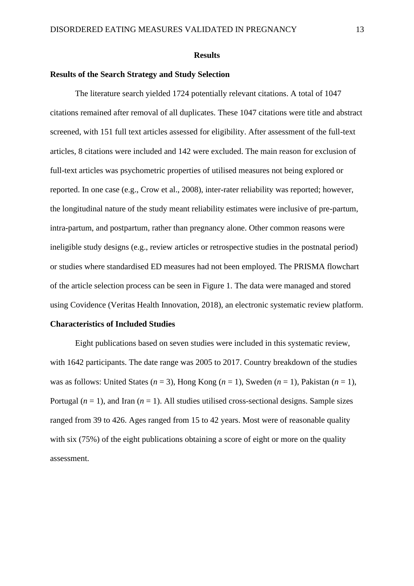#### **Results**

## **Results of the Search Strategy and Study Selection**

The literature search yielded 1724 potentially relevant citations. A total of 1047 citations remained after removal of all duplicates. These 1047 citations were title and abstract screened, with 151 full text articles assessed for eligibility. After assessment of the full-text articles, 8 citations were included and 142 were excluded. The main reason for exclusion of full-text articles was psychometric properties of utilised measures not being explored or reported. In one case (e.g., Crow et al., 2008), inter-rater reliability was reported; however, the longitudinal nature of the study meant reliability estimates were inclusive of pre-partum, intra-partum, and postpartum, rather than pregnancy alone. Other common reasons were ineligible study designs (e.g., review articles or retrospective studies in the postnatal period) or studies where standardised ED measures had not been employed. The PRISMA flowchart of the article selection process can be seen in Figure 1. The data were managed and stored using Covidence (Veritas Health Innovation, 2018), an electronic systematic review platform.

### **Characteristics of Included Studies**

Eight publications based on seven studies were included in this systematic review, with 1642 participants. The date range was 2005 to 2017. Country breakdown of the studies was as follows: United States  $(n = 3)$ , Hong Kong  $(n = 1)$ , Sweden  $(n = 1)$ , Pakistan  $(n = 1)$ , Portugal  $(n = 1)$ , and Iran  $(n = 1)$ . All studies utilised cross-sectional designs. Sample sizes ranged from 39 to 426. Ages ranged from 15 to 42 years. Most were of reasonable quality with six (75%) of the eight publications obtaining a score of eight or more on the quality assessment.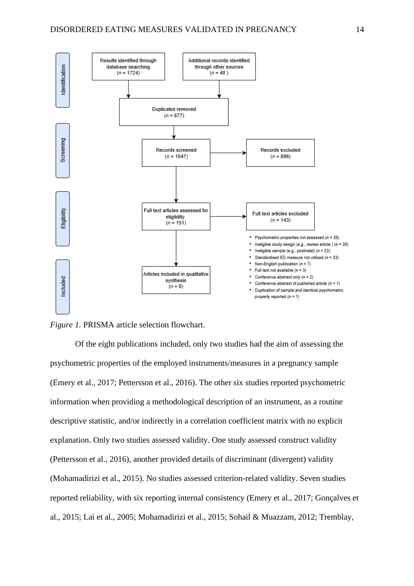

*Figure 1.* PRISMA article selection flowchart.

Of the eight publications included, only two studies had the aim of assessing the psychometric properties of the employed instruments/measures in a pregnancy sample (Emery et al., 2017; Pettersson et al., 2016). The other six studies reported psychometric information when providing a methodological description of an instrument, as a routine descriptive statistic, and/or indirectly in a correlation coefficient matrix with no explicit explanation. Only two studies assessed validity. One study assessed construct validity (Pettersson et al., 2016), another provided details of discriminant (divergent) validity (Mohamadirizi et al., 2015). No studies assessed criterion-related validity. Seven studies reported reliability, with six reporting internal consistency (Emery et al., 2017; Gonçalves et al., 2015; Lai et al., 2005; Mohamadirizi et al., 2015; Sohail & Muazzam, 2012; Tremblay,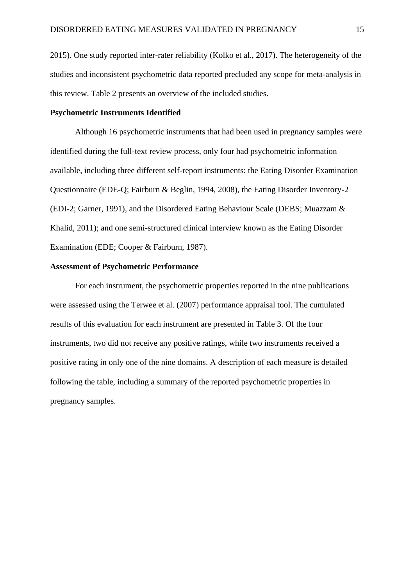2015). One study reported inter-rater reliability (Kolko et al., 2017). The heterogeneity of the studies and inconsistent psychometric data reported precluded any scope for meta-analysis in this review. Table 2 presents an overview of the included studies.

#### **Psychometric Instruments Identified**

Although 16 psychometric instruments that had been used in pregnancy samples were identified during the full-text review process, only four had psychometric information available, including three different self-report instruments: the Eating Disorder Examination Questionnaire (EDE-Q; Fairburn & Beglin, 1994, 2008), the Eating Disorder Inventory-2 (EDI-2; Garner, 1991), and the Disordered Eating Behaviour Scale (DEBS; Muazzam & Khalid, 2011); and one semi-structured clinical interview known as the Eating Disorder Examination (EDE; Cooper & Fairburn, 1987).

## **Assessment of Psychometric Performance**

For each instrument, the psychometric properties reported in the nine publications were assessed using the Terwee et al. (2007) performance appraisal tool. The cumulated results of this evaluation for each instrument are presented in Table 3. Of the four instruments, two did not receive any positive ratings, while two instruments received a positive rating in only one of the nine domains. A description of each measure is detailed following the table, including a summary of the reported psychometric properties in pregnancy samples.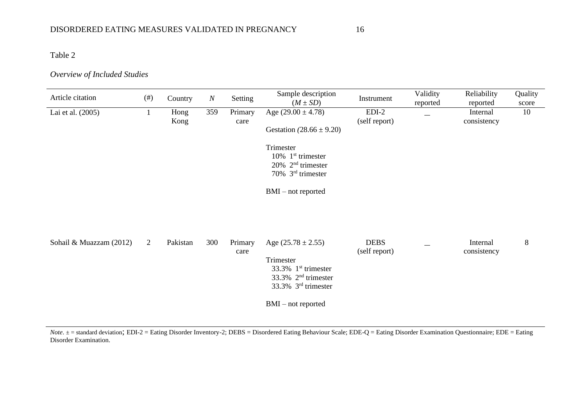Table 2

## *Overview of Included Studies*

| Article citation        | $($ # $)$ | Country      | $\cal N$ | Setting         | Sample description<br>$(M \pm SD)$                                                                                                                                                       | Instrument                   | Validity<br>reported | Reliability<br>reported | Quality<br>score |
|-------------------------|-----------|--------------|----------|-----------------|------------------------------------------------------------------------------------------------------------------------------------------------------------------------------------------|------------------------------|----------------------|-------------------------|------------------|
| Lai et al. (2005)       |           | Hong<br>Kong | 359      | Primary<br>care | Age $(29.00 \pm 4.78)$<br>Gestation $(28.66 \pm 9.20)$<br>Trimester<br>$10\%$ 1 <sup>st</sup> trimester<br>$20\%$ 2 <sup>nd</sup> trimester<br>70% 3rd trimester<br>$BMI - not reported$ | $EDI-2$<br>(self report)     |                      | Internal<br>consistency | 10               |
| Sohail & Muazzam (2012) | 2         | Pakistan     | 300      | Primary<br>care | Age $(25.78 \pm 2.55)$<br>Trimester<br>33.3% 1 <sup>st</sup> trimester<br>33.3% 2 <sup>nd</sup> trimester<br>33.3% 3 <sup>rd</sup> trimester<br>$BMI - not reported$                     | <b>DEBS</b><br>(self report) |                      | Internal<br>consistency | 8                |

*Note*.  $\pm$  = standard deviation; EDI-2 = Eating Disorder Inventory-2; DEBS = Disordered Eating Behaviour Scale; EDE-Q = Eating Disorder Examination Questionnaire; EDE = Eating Disorder Examination.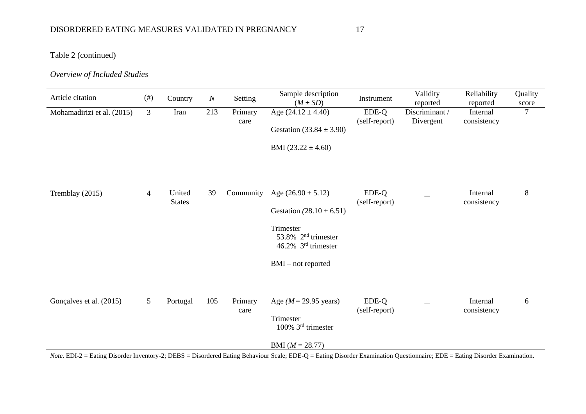# DISORDERED EATING MEASURES VALIDATED IN PREGNANCY 17

Table 2 (continued)

# *Overview of Included Studies*

| Article citation                                                                                                                                                                                      | #)             | Country                 | $\cal N$ | Setting         | Sample description<br>$(M \pm SD)$                                                                                                                                | Instrument             | Validity<br>reported        | Reliability<br>reported | Quality<br>score |
|-------------------------------------------------------------------------------------------------------------------------------------------------------------------------------------------------------|----------------|-------------------------|----------|-----------------|-------------------------------------------------------------------------------------------------------------------------------------------------------------------|------------------------|-----------------------------|-------------------------|------------------|
| Mohamadirizi et al. (2015)                                                                                                                                                                            | $\mathfrak{Z}$ | Iran                    | 213      | Primary<br>care | Age $(24.12 \pm 4.40)$<br>Gestation $(33.84 \pm 3.90)$<br>BMI $(23.22 \pm 4.60)$                                                                                  | EDE-Q<br>(self-report) | Discriminant /<br>Divergent | Internal<br>consistency | $\overline{7}$   |
| Tremblay (2015)                                                                                                                                                                                       | $\overline{4}$ | United<br><b>States</b> | 39       | Community       | Age $(26.90 \pm 5.12)$<br>Gestation $(28.10 \pm 6.51)$<br>Trimester<br>53.8% 2 <sup>nd</sup> trimester<br>46.2% 3 <sup>rd</sup> trimester<br>$BMI - not reported$ | EDE-Q<br>(self-report) |                             | Internal<br>consistency | 8                |
| Gonçalves et al. (2015)<br>Note. EDI-2 = Eating Disorder Inventory-2; DEBS = Disordered Eating Behaviour Scale; EDE-Q = Eating Disorder Examination Questionnaire; EDE = Eating Disorder Examination. | 5              | Portugal                | 105      | Primary<br>care | Age ( $M = 29.95$ years)<br>Trimester<br>100% 3rd trimester<br>BMI $(M = 28.77)$                                                                                  | EDE-Q<br>(self-report) |                             | Internal<br>consistency | 6                |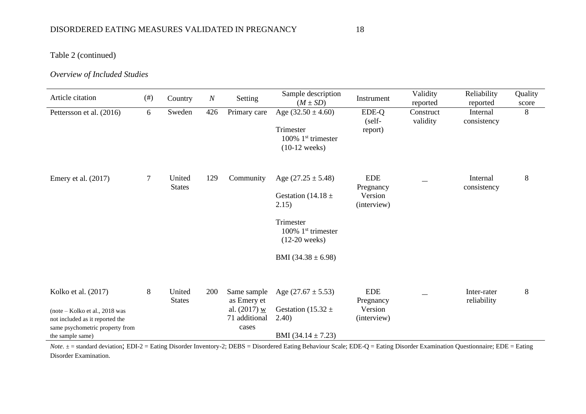Table 2 (continued)

# *Overview of Included Studies*

| Article citation                                                                                                                                  | $($ # $)$ | Country                 | N   | Setting                                                                | Sample description<br>$(M \pm SD)$                                                                                                          | Instrument                                        | Validity<br>reported  | Reliability<br>reported    | Quality<br>score |
|---------------------------------------------------------------------------------------------------------------------------------------------------|-----------|-------------------------|-----|------------------------------------------------------------------------|---------------------------------------------------------------------------------------------------------------------------------------------|---------------------------------------------------|-----------------------|----------------------------|------------------|
| Pettersson et al. (2016)                                                                                                                          | 6         | Sweden                  | 426 | Primary care                                                           | Age $(32.50 \pm 4.60)$<br>Trimester<br>100% $1st$ trimester<br>$(10-12$ weeks)                                                              | EDE-Q<br>(self-<br>report)                        | Construct<br>validity | Internal<br>consistency    | 8                |
| Emery et al. $(2017)$                                                                                                                             | $\tau$    | United<br><b>States</b> | 129 | Community                                                              | Age $(27.25 \pm 5.48)$<br>Gestation (14.18 $\pm$<br>2.15)<br>Trimester<br>100% $1st$ trimester<br>$(12-20$ weeks)<br>BMI $(34.38 \pm 6.98)$ | <b>EDE</b><br>Pregnancy<br>Version<br>(interview) |                       | Internal<br>consistency    | 8                |
| Kolko et al. (2017)<br>$(note - Kolko et al., 2018 was$<br>not included as it reported the<br>same psychometric property from<br>the sample same) | 8         | United<br><b>States</b> | 200 | Same sample<br>as Emery et<br>al. $(2017)$ w<br>71 additional<br>cases | Age $(27.67 \pm 5.53)$<br>Gestation (15.32 $\pm$<br>2.40)<br>BMI $(34.14 \pm 7.23)$                                                         | <b>EDE</b><br>Pregnancy<br>Version<br>(interview) |                       | Inter-rater<br>reliability | 8                |

*Note*.  $\pm$  = standard deviation; EDI-2 = Eating Disorder Inventory-2; DEBS = Disordered Eating Behaviour Scale; EDE-Q = Eating Disorder Examination Questionnaire; EDE = Eating Disorder Examination.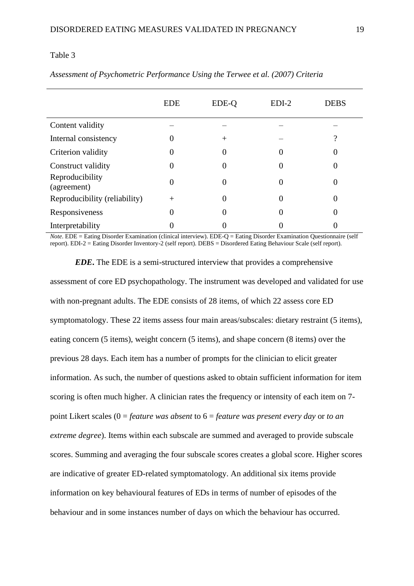#### Table 3

|                                | <b>EDE</b>   | EDE-Q | $EDI-2$       | <b>DEBS</b> |
|--------------------------------|--------------|-------|---------------|-------------|
| Content validity               |              |       |               |             |
| Internal consistency           | $\mathbf{0}$ | ┿     |               | റ           |
| Criterion validity             | 0            | O     |               | $\theta$    |
| Construct validity             | 0            | O     | $\mathcal{O}$ | $\theta$    |
| Reproducibility<br>(agreement) | $\mathbf{0}$ | O     | $\theta$      | $\theta$    |
| Reproducibility (reliability)  | $^{+}$       | 0     | $\theta$      | $\theta$    |
| Responsiveness                 | 0            | U     |               | $\theta$    |
| Interpretability               |              |       |               |             |

*Assessment of Psychometric Performance Using the Terwee et al. (2007) Criteria*

*Note*. EDE = Eating Disorder Examination (clinical interview). EDE-Q = Eating Disorder Examination Questionnaire (self report). EDI-2 = Eating Disorder Inventory-2 (self report). DEBS = Disordered Eating Behaviour Scale (self report).

*EDE***.** The EDE is a semi-structured interview that provides a comprehensive assessment of core ED psychopathology. The instrument was developed and validated for use with non-pregnant adults. The EDE consists of 28 items, of which 22 assess core ED symptomatology. These 22 items assess four main areas/subscales: dietary restraint (5 items), eating concern (5 items), weight concern (5 items), and shape concern (8 items) over the previous 28 days. Each item has a number of prompts for the clinician to elicit greater information. As such, the number of questions asked to obtain sufficient information for item scoring is often much higher. A clinician rates the frequency or intensity of each item on 7 point Likert scales (0 = *feature was absent* to 6 = *feature was present every day* or *to an extreme degree*). Items within each subscale are summed and averaged to provide subscale scores. Summing and averaging the four subscale scores creates a global score. Higher scores are indicative of greater ED-related symptomatology. An additional six items provide information on key behavioural features of EDs in terms of number of episodes of the behaviour and in some instances number of days on which the behaviour has occurred.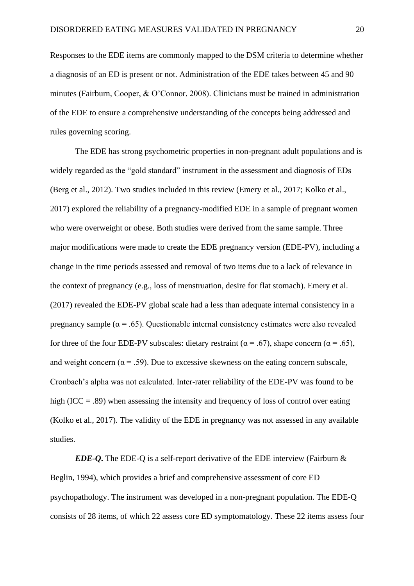Responses to the EDE items are commonly mapped to the DSM criteria to determine whether a diagnosis of an ED is present or not. Administration of the EDE takes between 45 and 90 minutes (Fairburn, Cooper, & O'Connor, 2008). Clinicians must be trained in administration of the EDE to ensure a comprehensive understanding of the concepts being addressed and rules governing scoring.

The EDE has strong psychometric properties in non-pregnant adult populations and is widely regarded as the "gold standard" instrument in the assessment and diagnosis of EDs (Berg et al., 2012). Two studies included in this review (Emery et al., 2017; Kolko et al., 2017) explored the reliability of a pregnancy-modified EDE in a sample of pregnant women who were overweight or obese. Both studies were derived from the same sample. Three major modifications were made to create the EDE pregnancy version (EDE-PV), including a change in the time periods assessed and removal of two items due to a lack of relevance in the context of pregnancy (e.g., loss of menstruation, desire for flat stomach). Emery et al. (2017) revealed the EDE-PV global scale had a less than adequate internal consistency in a pregnancy sample ( $\alpha = .65$ ). Questionable internal consistency estimates were also revealed for three of the four EDE-PV subscales: dietary restraint ( $\alpha$  = .67), shape concern ( $\alpha$  = .65), and weight concern ( $\alpha$  = .59). Due to excessive skewness on the eating concern subscale, Cronbach's alpha was not calculated. Inter-rater reliability of the EDE-PV was found to be high (ICC = .89) when assessing the intensity and frequency of loss of control over eating (Kolko et al., 2017). The validity of the EDE in pregnancy was not assessed in any available studies.

*EDE-Q***.** The EDE-Q is a self-report derivative of the EDE interview (Fairburn & Beglin, 1994), which provides a brief and comprehensive assessment of core ED psychopathology. The instrument was developed in a non-pregnant population. The EDE-Q consists of 28 items, of which 22 assess core ED symptomatology. These 22 items assess four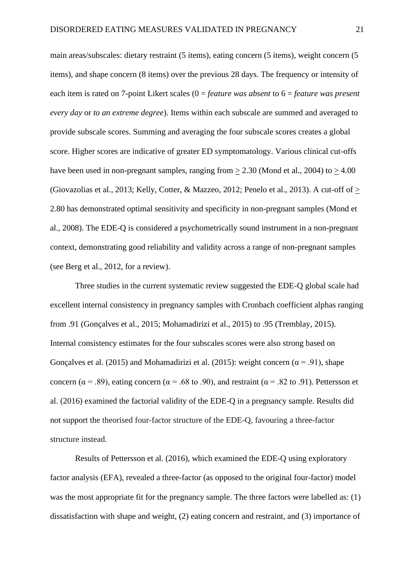main areas/subscales: dietary restraint (5 items), eating concern (5 items), weight concern (5 items), and shape concern (8 items) over the previous 28 days. The frequency or intensity of each item is rated on 7-point Likert scales (0 = *feature was absent* to 6 = *feature was present every day* or *to an extreme degree*). Items within each subscale are summed and averaged to provide subscale scores. Summing and averaging the four subscale scores creates a global score. Higher scores are indicative of greater ED symptomatology. Various clinical cut-offs have been used in non-pregnant samples, ranging from  $> 2.30$  (Mond et al., 2004) to  $> 4.00$ (Giovazolias et al., 2013; Kelly, Cotter, & Mazzeo, 2012; Penelo et al., 2013). A cut-off of  $>$ 2.80 has demonstrated optimal sensitivity and specificity in non-pregnant samples (Mond et al., 2008). The EDE-Q is considered a psychometrically sound instrument in a non-pregnant context, demonstrating good reliability and validity across a range of non-pregnant samples (see Berg et al., 2012, for a review).

Three studies in the current systematic review suggested the EDE-Q global scale had excellent internal consistency in pregnancy samples with Cronbach coefficient alphas ranging from .91 (Gonçalves et al., 2015; Mohamadirizi et al., 2015) to .95 (Tremblay, 2015). Internal consistency estimates for the four subscales scores were also strong based on Gonçalves et al. (2015) and Mohamadirizi et al. (2015): weight concern ( $\alpha$  = .91), shape concern ( $\alpha$  = .89), eating concern ( $\alpha$  = .68 to .90), and restraint ( $\alpha$  = .82 to .91). Pettersson et al. (2016) examined the factorial validity of the EDE-Q in a pregnancy sample. Results did not support the theorised four-factor structure of the EDE-Q, favouring a three-factor structure instead.

Results of Pettersson et al. (2016), which examined the EDE-Q using exploratory factor analysis (EFA), revealed a three-factor (as opposed to the original four-factor) model was the most appropriate fit for the pregnancy sample. The three factors were labelled as: (1) dissatisfaction with shape and weight, (2) eating concern and restraint, and (3) importance of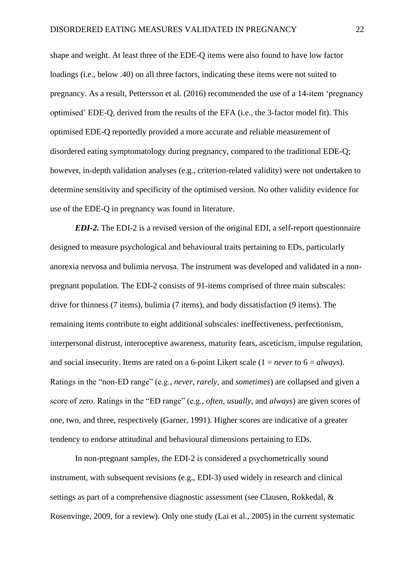shape and weight. At least three of the EDE-Q items were also found to have low factor loadings (i.e., below .40) on all three factors, indicating these items were not suited to pregnancy. As a result, Pettersson et al. (2016) recommended the use of a 14-item 'pregnancy optimised' EDE-Q, derived from the results of the EFA (i.e., the 3-factor model fit). This optimised EDE-Q reportedly provided a more accurate and reliable measurement of disordered eating symptomatology during pregnancy, compared to the traditional EDE-Q; however, in-depth validation analyses (e.g., criterion-related validity) were not undertaken to determine sensitivity and specificity of the optimised version. No other validity evidence for use of the EDE-Q in pregnancy was found in literature.

*EDI-2***.** The EDI-2 is a revised version of the original EDI, a self-report questionnaire designed to measure psychological and behavioural traits pertaining to EDs, particularly anorexia nervosa and bulimia nervosa. The instrument was developed and validated in a nonpregnant population. The EDI-2 consists of 91-items comprised of three main subscales: drive for thinness (7 items), bulimia (7 items), and body dissatisfaction (9 items). The remaining items contribute to eight additional subscales: ineffectiveness, perfectionism, interpersonal distrust, interoceptive awareness, maturity fears, asceticism, impulse regulation, and social insecurity. Items are rated on a 6-point Likert scale (1 = *never* to 6 = *always*). Ratings in the "non-ED range" (e.g., *never, rarely,* and *sometimes*) are collapsed and given a score of zero. Ratings in the "ED range" (e.g., *often, usually,* and *always*) are given scores of one, two, and three, respectively (Garner, 1991). Higher scores are indicative of a greater tendency to endorse attitudinal and behavioural dimensions pertaining to EDs.

In non-pregnant samples, the EDI-2 is considered a psychometrically sound instrument, with subsequent revisions (e.g., EDI-3) used widely in research and clinical settings as part of a comprehensive diagnostic assessment (see Clausen, Rokkedal, & Rosenvinge, 2009, for a review). Only one study (Lai et al., 2005) in the current systematic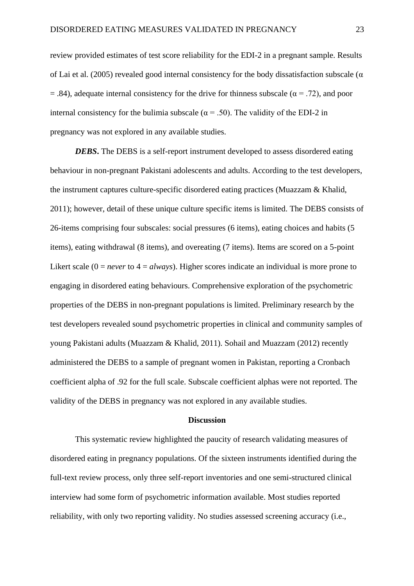review provided estimates of test score reliability for the EDI-2 in a pregnant sample. Results of Lai et al. (2005) revealed good internal consistency for the body dissatisfaction subscale ( $\alpha$ )  $= 0.84$ , adequate internal consistency for the drive for thinness subscale ( $\alpha = 0.72$ ), and poor internal consistency for the bulimia subscale ( $\alpha$  = .50). The validity of the EDI-2 in pregnancy was not explored in any available studies.

*DEBS***.** The DEBS is a self-report instrument developed to assess disordered eating behaviour in non-pregnant Pakistani adolescents and adults. According to the test developers, the instrument captures culture-specific disordered eating practices (Muazzam & Khalid, 2011); however, detail of these unique culture specific items is limited. The DEBS consists of 26-items comprising four subscales: social pressures (6 items), eating choices and habits (5 items), eating withdrawal (8 items), and overeating (7 items). Items are scored on a 5-point Likert scale ( $0 = never$  to  $4 = always$ ). Higher scores indicate an individual is more prone to engaging in disordered eating behaviours. Comprehensive exploration of the psychometric properties of the DEBS in non-pregnant populations is limited. Preliminary research by the test developers revealed sound psychometric properties in clinical and community samples of young Pakistani adults (Muazzam & Khalid, 2011). Sohail and Muazzam (2012) recently administered the DEBS to a sample of pregnant women in Pakistan, reporting a Cronbach coefficient alpha of .92 for the full scale. Subscale coefficient alphas were not reported. The validity of the DEBS in pregnancy was not explored in any available studies.

#### **Discussion**

This systematic review highlighted the paucity of research validating measures of disordered eating in pregnancy populations. Of the sixteen instruments identified during the full-text review process, only three self-report inventories and one semi-structured clinical interview had some form of psychometric information available. Most studies reported reliability, with only two reporting validity. No studies assessed screening accuracy (i.e.,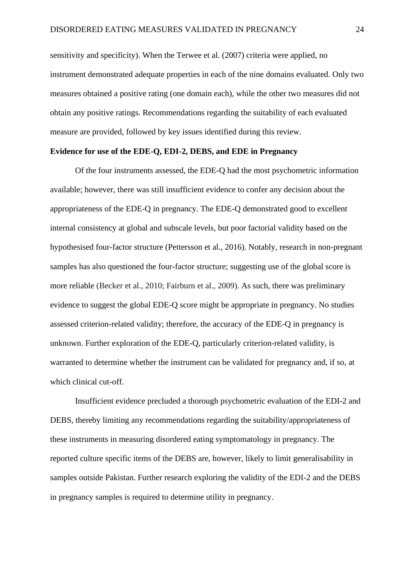sensitivity and specificity). When the Terwee et al. (2007) criteria were applied, no instrument demonstrated adequate properties in each of the nine domains evaluated. Only two measures obtained a positive rating (one domain each), while the other two measures did not obtain any positive ratings. Recommendations regarding the suitability of each evaluated measure are provided, followed by key issues identified during this review.

## **Evidence for use of the EDE-Q, EDI-2, DEBS, and EDE in Pregnancy**

Of the four instruments assessed, the EDE-Q had the most psychometric information available; however, there was still insufficient evidence to confer any decision about the appropriateness of the EDE-Q in pregnancy. The EDE-Q demonstrated good to excellent internal consistency at global and subscale levels, but poor factorial validity based on the hypothesised four-factor structure (Pettersson et al., 2016). Notably, research in non-pregnant samples has also questioned the four-factor structure; suggesting use of the global score is more reliable (Becker et al., 2010; Fairburn et al., 2009). As such, there was preliminary evidence to suggest the global EDE-Q score might be appropriate in pregnancy. No studies assessed criterion-related validity; therefore, the accuracy of the EDE-Q in pregnancy is unknown. Further exploration of the EDE-Q, particularly criterion-related validity, is warranted to determine whether the instrument can be validated for pregnancy and, if so, at which clinical cut-off.

Insufficient evidence precluded a thorough psychometric evaluation of the EDI-2 and DEBS, thereby limiting any recommendations regarding the suitability/appropriateness of these instruments in measuring disordered eating symptomatology in pregnancy. The reported culture specific items of the DEBS are, however, likely to limit generalisability in samples outside Pakistan. Further research exploring the validity of the EDI-2 and the DEBS in pregnancy samples is required to determine utility in pregnancy.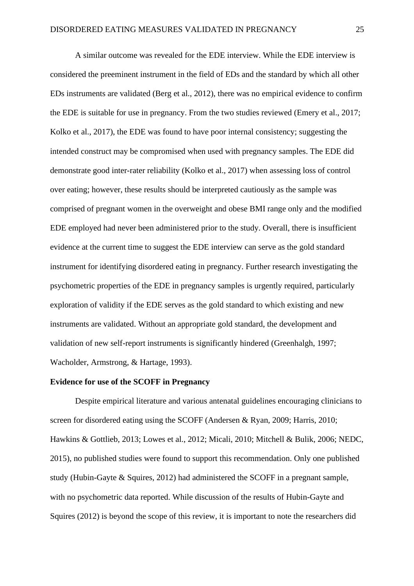A similar outcome was revealed for the EDE interview. While the EDE interview is considered the preeminent instrument in the field of EDs and the standard by which all other EDs instruments are validated (Berg et al., 2012), there was no empirical evidence to confirm the EDE is suitable for use in pregnancy. From the two studies reviewed (Emery et al., 2017; Kolko et al., 2017), the EDE was found to have poor internal consistency; suggesting the intended construct may be compromised when used with pregnancy samples. The EDE did demonstrate good inter-rater reliability (Kolko et al., 2017) when assessing loss of control over eating; however, these results should be interpreted cautiously as the sample was comprised of pregnant women in the overweight and obese BMI range only and the modified EDE employed had never been administered prior to the study. Overall, there is insufficient evidence at the current time to suggest the EDE interview can serve as the gold standard instrument for identifying disordered eating in pregnancy. Further research investigating the psychometric properties of the EDE in pregnancy samples is urgently required, particularly exploration of validity if the EDE serves as the gold standard to which existing and new instruments are validated. Without an appropriate gold standard, the development and validation of new self-report instruments is significantly hindered (Greenhalgh, 1997; Wacholder, Armstrong, & Hartage, 1993).

## **Evidence for use of the SCOFF in Pregnancy**

Despite empirical literature and various antenatal guidelines encouraging clinicians to screen for disordered eating using the SCOFF (Andersen & Ryan, 2009; Harris, 2010; Hawkins & Gottlieb, 2013; Lowes et al., 2012; Micali, 2010; Mitchell & Bulik, 2006; NEDC, 2015), no published studies were found to support this recommendation. Only one published study (Hubin-Gayte & Squires, 2012) had administered the SCOFF in a pregnant sample, with no psychometric data reported. While discussion of the results of Hubin-Gayte and Squires (2012) is beyond the scope of this review, it is important to note the researchers did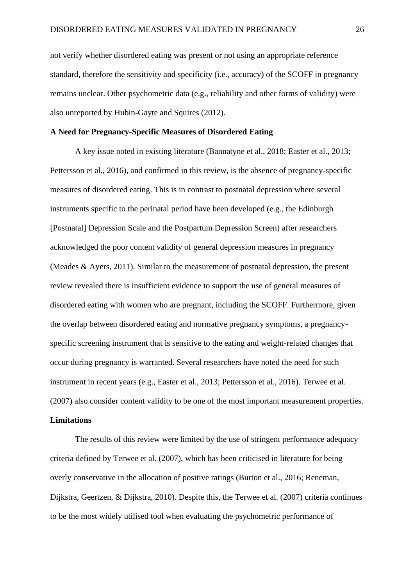not verify whether disordered eating was present or not using an appropriate reference standard, therefore the sensitivity and specificity (i.e., accuracy) of the SCOFF in pregnancy remains unclear. Other psychometric data (e.g., reliability and other forms of validity) were also unreported by Hubin-Gayte and Squires (2012).

#### **A Need for Pregnancy-Specific Measures of Disordered Eating**

A key issue noted in existing literature (Bannatyne et al., 2018; Easter et al., 2013; Pettersson et al., 2016), and confirmed in this review, is the absence of pregnancy-specific measures of disordered eating. This is in contrast to postnatal depression where several instruments specific to the perinatal period have been developed (e.g., the Edinburgh [Postnatal] Depression Scale and the Postpartum Depression Screen) after researchers acknowledged the poor content validity of general depression measures in pregnancy (Meades & Ayers, 2011). Similar to the measurement of postnatal depression, the present review revealed there is insufficient evidence to support the use of general measures of disordered eating with women who are pregnant, including the SCOFF. Furthermore, given the overlap between disordered eating and normative pregnancy symptoms, a pregnancyspecific screening instrument that is sensitive to the eating and weight-related changes that occur during pregnancy is warranted. Several researchers have noted the need for such instrument in recent years (e.g., Easter et al., 2013; Pettersson et al., 2016). Terwee et al. (2007) also consider content validity to be one of the most important measurement properties.

## **Limitations**

The results of this review were limited by the use of stringent performance adequacy criteria defined by Terwee et al. (2007), which has been criticised in literature for being overly conservative in the allocation of positive ratings (Burton et al., 2016; Reneman, Dijkstra, Geertzen, & Dijkstra, 2010). Despite this, the Terwee et al. (2007) criteria continues to be the most widely utilised tool when evaluating the psychometric performance of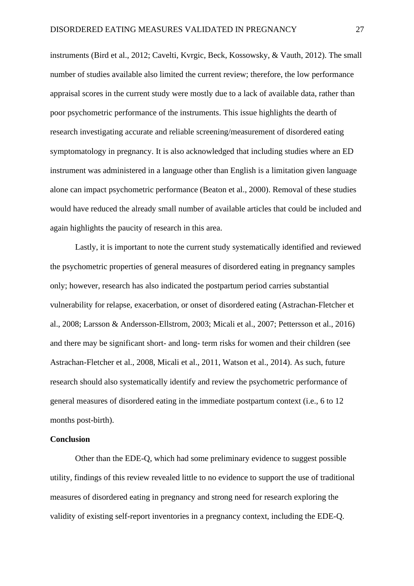instruments (Bird et al., 2012; Cavelti, Kvrgic, Beck, Kossowsky, & Vauth, 2012). The small number of studies available also limited the current review; therefore, the low performance appraisal scores in the current study were mostly due to a lack of available data, rather than poor psychometric performance of the instruments. This issue highlights the dearth of research investigating accurate and reliable screening/measurement of disordered eating symptomatology in pregnancy. It is also acknowledged that including studies where an ED instrument was administered in a language other than English is a limitation given language alone can impact psychometric performance (Beaton et al., 2000). Removal of these studies would have reduced the already small number of available articles that could be included and again highlights the paucity of research in this area.

Lastly, it is important to note the current study systematically identified and reviewed the psychometric properties of general measures of disordered eating in pregnancy samples only; however, research has also indicated the postpartum period carries substantial vulnerability for relapse, exacerbation, or onset of disordered eating (Astrachan-Fletcher et al., 2008; Larsson & Andersson-Ellstrom, 2003; Micali et al., 2007; Pettersson et al., 2016) and there may be significant short- and long- term risks for women and their children (see Astrachan-Fletcher et al., 2008, Micali et al., 2011, Watson et al., 2014). As such, future research should also systematically identify and review the psychometric performance of general measures of disordered eating in the immediate postpartum context (i.e., 6 to 12 months post-birth).

## **Conclusion**

Other than the EDE-Q, which had some preliminary evidence to suggest possible utility, findings of this review revealed little to no evidence to support the use of traditional measures of disordered eating in pregnancy and strong need for research exploring the validity of existing self-report inventories in a pregnancy context, including the EDE-Q.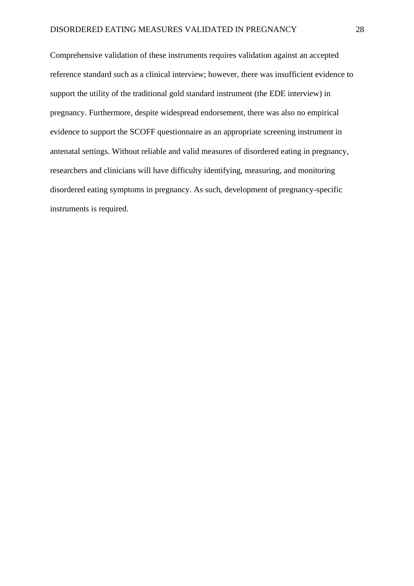Comprehensive validation of these instruments requires validation against an accepted reference standard such as a clinical interview; however, there was insufficient evidence to support the utility of the traditional gold standard instrument (the EDE interview) in pregnancy. Furthermore, despite widespread endorsement, there was also no empirical evidence to support the SCOFF questionnaire as an appropriate screening instrument in antenatal settings. Without reliable and valid measures of disordered eating in pregnancy, researchers and clinicians will have difficulty identifying, measuring, and monitoring disordered eating symptoms in pregnancy. As such, development of pregnancy-specific instruments is required.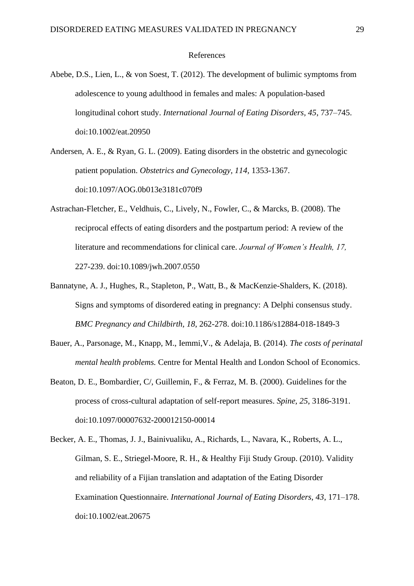#### References

- Abebe, D.S., Lien, L., & von Soest, T. (2012). The development of bulimic symptoms from adolescence to young adulthood in females and males: A population-based longitudinal cohort study. *International Journal of Eating Disorders, 45*, 737–745. doi:10.1002/eat.20950
- Andersen, A. E., & Ryan, G. L. (2009). Eating disorders in the obstetric and gynecologic patient population. *Obstetrics and Gynecology, 114,* 1353-1367. doi:10.1097/AOG.0b013e3181c070f9
- Astrachan-Fletcher, E., Veldhuis, C., Lively, N., Fowler, C., & Marcks, B. (2008). The reciprocal effects of eating disorders and the postpartum period: A review of the literature and recommendations for clinical care. *Journal of Women's Health, 17,*  227-239. doi:10.1089/jwh.2007.0550
- Bannatyne, A. J., Hughes, R., Stapleton, P., Watt, B., & MacKenzie-Shalders, K. (2018). Signs and symptoms of disordered eating in pregnancy: A Delphi consensus study. *BMC Pregnancy and Childbirth, 18*, 262-278. doi:10.1186/s12884-018-1849-3
- Bauer, A., Parsonage, M., Knapp, M., Iemmi,V., & Adelaja, B. (2014). *The costs of perinatal mental health problems.* Centre for Mental Health and London School of Economics.
- Beaton, D. E., Bombardier, C/, Guillemin, F., & Ferraz, M. B. (2000). Guidelines for the process of cross-cultural adaptation of self-report measures. *Spine, 25*, 3186-3191. doi:10.1097/00007632-200012150-00014
- Becker, A. E., Thomas, J. J., Bainivualiku, A., Richards, L., Navara, K., Roberts, A. L., Gilman, S. E., Striegel-Moore, R. H., & Healthy Fiji Study Group. (2010). Validity and reliability of a Fijian translation and adaptation of the Eating Disorder Examination Questionnaire. *International Journal of Eating Disorders, 43*, 171–178. doi:10.1002/eat.20675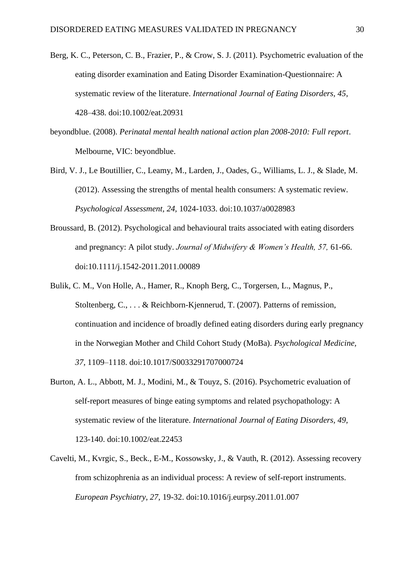- Berg, K. C., Peterson, C. B., Frazier, P., & Crow, S. J. (2011). Psychometric evaluation of the eating disorder examination and Eating Disorder Examination-Questionnaire: A systematic review of the literature. *International Journal of Eating Disorders, 45*, 428–438. doi:10.1002/eat.20931
- beyondblue. (2008). *Perinatal mental health national action plan 2008-2010: Full report*. Melbourne, VIC: beyondblue.
- Bird, V. J., Le Boutillier, C., Leamy, M., Larden, J., Oades, G., Williams, L. J., & Slade, M. (2012). Assessing the strengths of mental health consumers: A systematic review. *Psychological Assessment, 24,* 1024-1033. doi:10.1037/a0028983
- Broussard, B. (2012). Psychological and behavioural traits associated with eating disorders and pregnancy: A pilot study. *Journal of Midwifery & Women's Health, 57,* 61-66. doi:10.1111/j.1542-2011.2011.00089
- Bulik, C. M., Von Holle, A., Hamer, R., Knoph Berg, C., Torgersen, L., Magnus, P., Stoltenberg, C., . . . & Reichborn-Kjennerud, T. (2007). Patterns of remission, continuation and incidence of broadly defined eating disorders during early pregnancy in the Norwegian Mother and Child Cohort Study (MoBa). *Psychological Medicine, 37*, 1109–1118. doi:10.1017/S0033291707000724
- Burton, A. L., Abbott, M. J., Modini, M., & Touyz, S. (2016). Psychometric evaluation of self-report measures of binge eating symptoms and related psychopathology: A systematic review of the literature. *International Journal of Eating Disorders, 49,*  123-140. doi:10.1002/eat.22453
- Cavelti, M., Kvrgic, S., Beck., E-M., Kossowsky, J., & Vauth, R. (2012). Assessing recovery from schizophrenia as an individual process: A review of self-report instruments. *European Psychiatry, 27,* 19-32. doi:10.1016/j.eurpsy.2011.01.007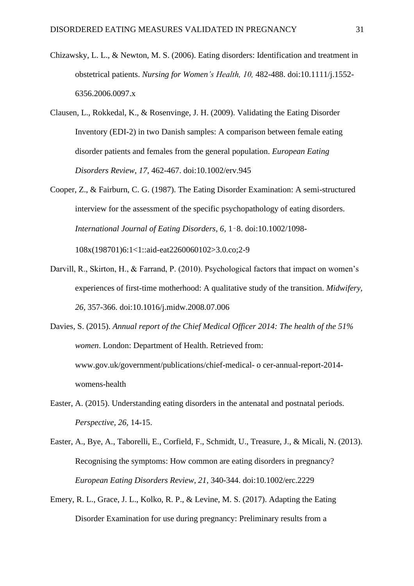- Chizawsky, L. L., & Newton, M. S. (2006). Eating disorders: Identification and treatment in obstetrical patients. *Nursing for Women's Health, 10,* 482-488. doi:10.1111/j.1552- 6356.2006.0097.x
- Clausen, L., Rokkedal, K., & Rosenvinge, J. H. (2009). Validating the Eating Disorder Inventory (EDI-2) in two Danish samples: A comparison between female eating disorder patients and females from the general population. *European Eating Disorders Review, 17,* 462-467. doi:10.1002/erv.945
- Cooper, Z., & Fairburn, C. G. (1987). The Eating Disorder Examination: A semi-structured interview for the assessment of the specific psychopathology of eating disorders. *International Journal of Eating Disorders, 6*, 1–8. doi:10.1002/1098-

108x(198701)6:1<1::aid-eat2260060102>3.0.co;2-9

Darvill, R., Skirton, H., & Farrand, P. (2010). Psychological factors that impact on women's experiences of first-time motherhood: A qualitative study of the transition. *Midwifery, 26,* 357-366. doi:10.1016/j.midw.2008.07.006

Davies, S. (2015). *Annual report of the Chief Medical Officer 2014: The health of the 51% women*. London: Department of Health. Retrieved from: www.gov.uk/government/publications/chief-medical- o cer-annual-report-2014 womens-health

- Easter, A. (2015). Understanding eating disorders in the antenatal and postnatal periods. *Perspective, 26,* 14-15.
- Easter, A., Bye, A., Taborelli, E., Corfield, F., Schmidt, U., Treasure, J., & Micali, N. (2013). Recognising the symptoms: How common are eating disorders in pregnancy? *European Eating Disorders Review, 21,* 340-344. doi:10.1002/erc.2229
- Emery, R. L., Grace, J. L., Kolko, R. P., & Levine, M. S. (2017). Adapting the Eating Disorder Examination for use during pregnancy: Preliminary results from a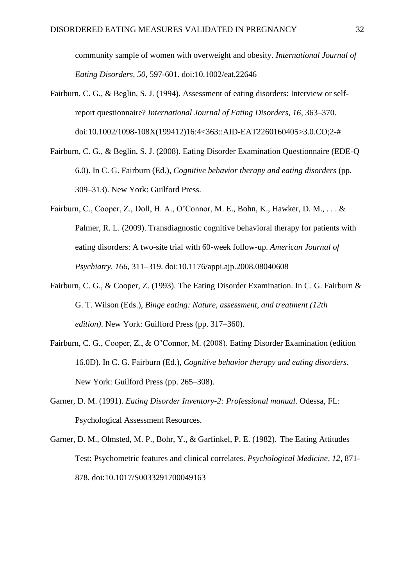community sample of women with overweight and obesity. *International Journal of Eating Disorders, 50,* 597-601. doi:10.1002/eat.22646

- Fairburn, C. G., & Beglin, S. J. (1994). Assessment of eating disorders: Interview or selfreport questionnaire? *International Journal of Eating Disorders, 16*, 363–370. doi:10.1002/1098-108X(199412)16:4<363::AID-EAT2260160405>3.0.CO;2-#
- Fairburn, C. G., & Beglin, S. J. (2008). Eating Disorder Examination Questionnaire (EDE-Q 6.0). In C. G. Fairburn (Ed.), *Cognitive behavior therapy and eating disorders* (pp. 309–313). New York: Guilford Press.
- Fairburn, C., Cooper, Z., Doll, H. A., O'Connor, M. E., Bohn, K., Hawker, D. M., . . . & Palmer, R. L. (2009). Transdiagnostic cognitive behavioral therapy for patients with eating disorders: A two-site trial with 60-week follow-up. *American Journal of Psychiatry, 166,* 311–319. doi:10.1176/appi.ajp.2008.08040608
- Fairburn, C. G., & Cooper, Z. (1993). The Eating Disorder Examination. In C. G. Fairburn & G. T. Wilson (Eds.), *Binge eating: Nature, assessment, and treatment (12th edition)*. New York: Guilford Press (pp. 317–360).
- Fairburn, C. G., Cooper, Z., & O'Connor, M. (2008). Eating Disorder Examination (edition 16.0D). In C. G. Fairburn (Ed.), *Cognitive behavior therapy and eating disorders*. New York: Guilford Press (pp. 265–308).
- Garner, D. M. (1991). *Eating Disorder Inventory-2: Professional manual*. Odessa, FL: Psychological Assessment Resources.
- Garner, D. M., Olmsted, M. P., Bohr, Y., & Garfinkel, P. E. (1982). The Eating Attitudes Test: Psychometric features and clinical correlates. *Psychological Medicine, 12*, 871- 878. doi[:10.1017/S0033291700049163](https://psycnet.apa.org/doi/10.1017/S0033291700049163)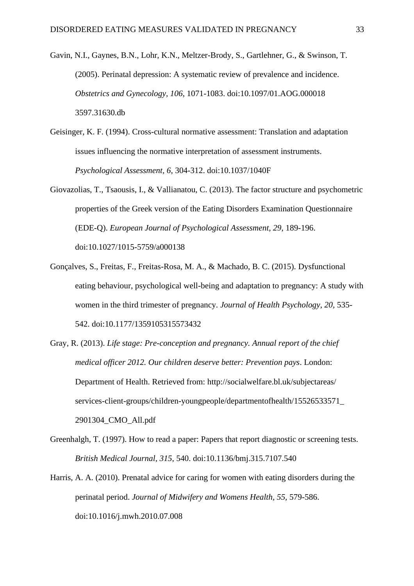Gavin, N.I., Gaynes, B.N., Lohr, K.N., Meltzer-Brody, S., Gartlehner, G., & Swinson, T. (2005). Perinatal depression: A systematic review of prevalence and incidence. *Obstetrics and Gynecology, 106*, 1071-1083. doi:10.1097/01.AOG.000018 3597.31630.db

- Geisinger, K. F. (1994). Cross-cultural normative assessment: Translation and adaptation issues influencing the normative interpretation of assessment instruments. *Psychological Assessment, 6*, 304-312. doi:10.1037/1040F
- Giovazolias, T., Tsaousis, I., & Vallianatou, C. (2013). The factor structure and psychometric properties of the Greek version of the Eating Disorders Examination Questionnaire (EDE-Q). *European Journal of Psychological Assessment, 29*, 189-196. doi:10.1027/1015-5759/a000138
- Gonçalves, S., Freitas, F., Freitas-Rosa, M. A., & Machado, B. C. (2015). Dysfunctional eating behaviour, psychological well-being and adaptation to pregnancy: A study with women in the third trimester of pregnancy. *Journal of Health Psychology, 20,* 535- 542. doi:10.1177/1359105315573432
- Gray, R. (2013). *Life stage: Pre-conception and pregnancy. Annual report of the chief medical officer 2012. Our children deserve better: Prevention pays*. London: Department of Health. Retrieved from: http://socialwelfare.bl.uk/subjectareas/ services-client-groups/children-youngpeople/departmentofhealth/15526533571\_ 2901304\_CMO\_All.pdf
- Greenhalgh, T. (1997). How to read a paper: Papers that report diagnostic or screening tests. *British Medical Journal, 315,* 540. doi:10.1136/bmj.315.7107.540
- Harris, A. A. (2010). Prenatal advice for caring for women with eating disorders during the perinatal period. *Journal of Midwifery and Womens Health, 55,* 579-586. doi:10.1016/j.mwh.2010.07.008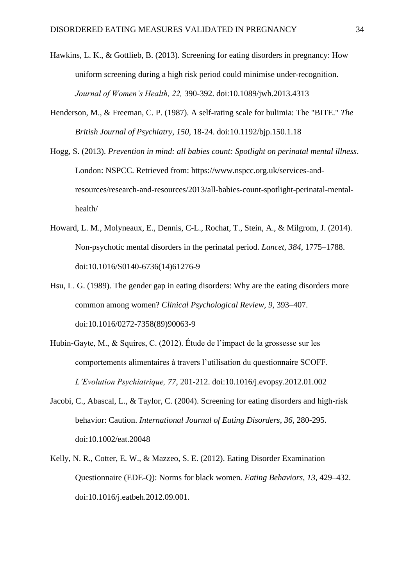- Hawkins, L. K., & Gottlieb, B. (2013). Screening for eating disorders in pregnancy: How uniform screening during a high risk period could minimise under-recognition. *Journal of Women's Health, 22,* 390-392. doi:10.1089/jwh.2013.4313
- Henderson, M., & Freeman, C. P. (1987). A self-rating scale for bulimia: The "BITE." *The British Journal of Psychiatry, 150,* 18-24. [doi:10.1192/bjp.150.1.18](https://psycnet.apa.org/doi/10.1192/bjp.150.1.18)
- Hogg, S. (2013). *Prevention in mind: all babies count: Spotlight on perinatal mental illness*. London: NSPCC. Retrieved from: https://www.nspcc.org.uk/services-andresources/research-and-resources/2013/all-babies-count-spotlight-perinatal-mentalhealth/
- Howard, L. M., Molyneaux, E., Dennis, C-L., Rochat, T., Stein, A., & Milgrom, J. (2014). Non-psychotic mental disorders in the perinatal period. *Lancet, 384*, 1775–1788. doi:10.1016/S0140-6736(14)61276-9
- Hsu, L. G. (1989). The gender gap in eating disorders: Why are the eating disorders more common among women? *Clinical Psychological Review, 9*, 393–407. doi:10.1016/0272-7358(89)90063-9
- Hubin-Gayte, M., & Squires, C. (2012). Étude de l'impact de la grossesse sur les comportements alimentaires à travers l'utilisation du questionnaire SCOFF. *L'Evolution Psychiatrique, 77,* 201-212. doi:10.1016/j.evopsy.2012.01.002
- Jacobi, C., Abascal, L., & Taylor, C. (2004). Screening for eating disorders and high-risk behavior: Caution. *International Journal of Eating Disorders*, *36*, 280-295. doi:10.1002/eat.20048
- Kelly, N. R., Cotter, E. W., & Mazzeo, S. E. (2012). Eating Disorder Examination Questionnaire (EDE-Q): Norms for black women*. Eating Behaviors, 13,* 429–432. doi:10.1016/j.eatbeh.2012.09.001.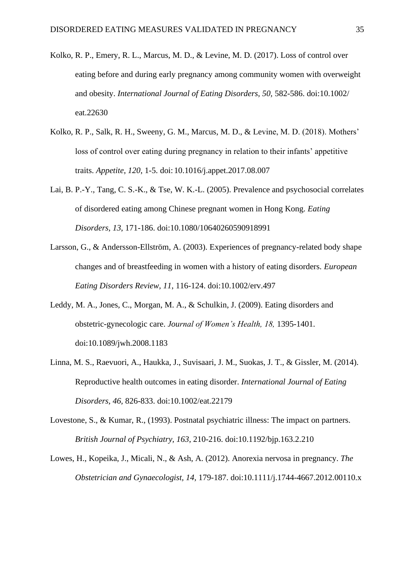- Kolko, R. P., Emery, R. L., Marcus, M. D., & Levine, M. D. (2017). Loss of control over eating before and during early pregnancy among community women with overweight and obesity. *International Journal of Eating Disorders, 50,* 582-586. doi:10.1002/ eat.22630
- Kolko, R. P., Salk, R. H., Sweeny, G. M., Marcus, M. D., & Levine, M. D. (2018). Mothers' loss of control over eating during pregnancy in relation to their infants' appetitive traits. *Appetite*, *120*, 1-5. doi:10.1016/j.appet.2017.08.007
- Lai, B. P.-Y., Tang, C. S.-K., & Tse, W. K.-L. (2005). Prevalence and psychosocial correlates of disordered eating among Chinese pregnant women in Hong Kong. *Eating Disorders, 13*, 171-186. doi:10.1080/10640260590918991
- Larsson, G., & Andersson-Ellström, A. (2003). Experiences of pregnancy-related body shape changes and of breastfeeding in women with a history of eating disorders. *European Eating Disorders Review, 11*, 116-124. doi:10.1002/erv.497
- Leddy, M. A., Jones, C., Morgan, M. A., & Schulkin, J. (2009). Eating disorders and obstetric-gynecologic care. *Journal of Women's Health, 18,* 1395-1401. doi:10.1089/jwh.2008.1183
- Linna, M. S., Raevuori, A., Haukka, J., Suvisaari, J. M., Suokas, J. T., & Gissler, M. (2014). Reproductive health outcomes in eating disorder. *International Journal of Eating Disorders, 46,* 826-833. doi:10.1002/eat.22179
- Lovestone, S., & Kumar, R., (1993). Postnatal psychiatric illness: The impact on partners. *British Journal of Psychiatry, 163*, 210-216. doi:10.1192/bjp.163.2.210
- Lowes, H., Kopeika, J., Micali, N., & Ash, A. (2012). Anorexia nervosa in pregnancy. *The Obstetrician and Gynaecologist, 14,* 179-187. doi:10.1111/j.1744-4667.2012.00110.x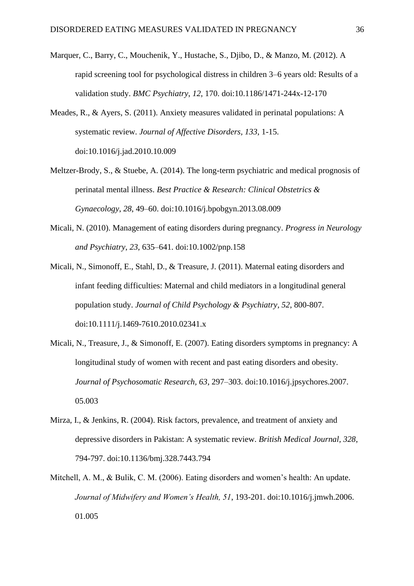- Marquer, C., Barry, C., Mouchenik, Y., Hustache, S., Djibo, D., & Manzo, M. (2012). A rapid screening tool for psychological distress in children 3–6 years old: Results of a validation study. *BMC Psychiatry*, *12*, 170. doi:10.1186/1471-244x-12-170
- Meades, R., & Ayers, S. (2011). Anxiety measures validated in perinatal populations: A systematic review. *Journal of Affective Disorders, 133*, 1-15. doi:10.1016/j.jad.2010.10.009
- Meltzer-Brody, S., & Stuebe, A. (2014). The long-term psychiatric and medical prognosis of perinatal mental illness. *Best Practice & Research: Clinical Obstetrics & Gynaecology*, *28*, 49–60. doi:10.1016/j.bpobgyn.2013.08.009
- Micali, N. (2010). Management of eating disorders during pregnancy. *Progress in Neurology and Psychiatry*, *23*, 635–641. doi:10.1002/pnp.158
- Micali, N., Simonoff, E., Stahl, D., & Treasure, J. (2011). Maternal eating disorders and infant feeding difficulties: Maternal and child mediators in a longitudinal general population study. *Journal of Child Psychology & Psychiatry, 52*, 800-807. doi:10.1111/j.1469-7610.2010.02341.x
- Micali, N., Treasure, J., & Simonoff, E. (2007). Eating disorders symptoms in pregnancy: A longitudinal study of women with recent and past eating disorders and obesity. *Journal of Psychosomatic Research, 63*, 297–303. doi:10.1016/j.jpsychores.2007. 05.003
- Mirza, I., & Jenkins, R. (2004). Risk factors, prevalence, and treatment of anxiety and depressive disorders in Pakistan: A systematic review. *British Medical Journal, 328*, 794-797. doi:10.1136/bmj.328.7443.794
- Mitchell, A. M., & Bulik, C. M. (2006). Eating disorders and women's health: An update. *Journal of Midwifery and Women's Health, 51*, 193-201. doi:10.1016/j.jmwh.2006. 01.005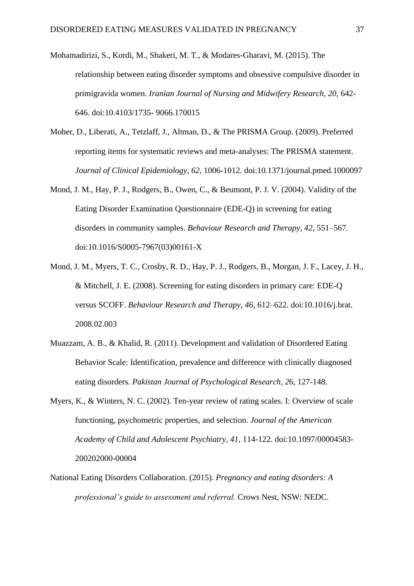- Mohamadirizi, S., Kordi, M., Shakeri, M. T., & Modares-Gharavi, M. (2015). The relationship between eating disorder symptoms and obsessive compulsive disorder in primigravida women. *Iranian Journal of Nursing and Midwifery Research, 20*, 642- 646. doi:10.4103/1735- 9066.170015
- Moher, D., Liberati, A., Tetzlaff, J., Altman, D., & The PRISMA Group. (2009). Preferred reporting items for systematic reviews and meta-analyses: The PRISMA statement. *Journal of Clinical Epidemiology, 62*, 1006-1012. doi:10.1371/journal.pmed.1000097
- Mond, J. M., Hay, P. J., Rodgers, B., Owen, C., & Beumont, P. J. V. (2004). Validity of the Eating Disorder Examination Questionnaire (EDE-Q) in screening for eating disorders in community samples. *Behaviour Research and Therapy, 42*, 551–567. doi:10.1016/S0005-7967(03)00161-X
- Mond, J. M., Myers, T. C., Crosby, R. D., Hay, P. J., Rodgers, B., Morgan, J. F., Lacey, J. H., & Mitchell, J. E. (2008). Screening for eating disorders in primary care: EDE-Q versus SCOFF. *Behaviour Research and Therapy, 46*, 612–622. doi:10.1016/j.brat. 2008.02.003
- Muazzam, A. B., & Khalid, R. (2011). Development and validation of Disordered Eating Behavior Scale: Identification, prevalence and difference with clinically diagnosed eating disorders. *Pakistan Journal of Psychological Research, 2*6, 127-148.
- Myers, K., & Winters, N. C. (2002). Ten-year review of rating scales. I: Overview of scale functioning, psychometric properties, and selection. *Journal of the American Academy of Child and Adolescent Psychiatry, 41*, 114-122. doi:10.1097/00004583- 200202000-00004
- National Eating Disorders Collaboration. (2015). *Pregnancy and eating disorders: A professional's guide to assessment and referral.* Crows Nest, NSW: NEDC.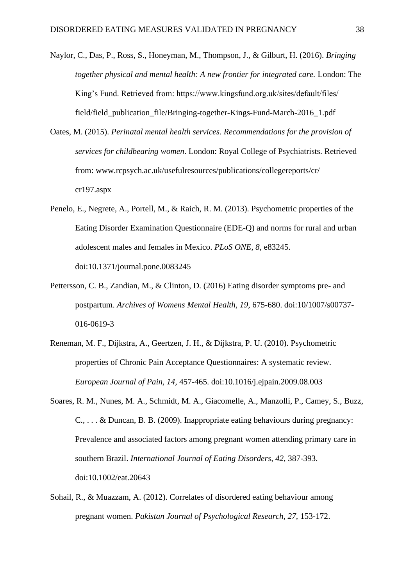- Naylor, C., Das, P., Ross, S., Honeyman, M., Thompson, J., & Gilburt, H. (2016). *Bringing together physical and mental health: A new frontier for integrated care.* London: The King's Fund. Retrieved from: https://www.kingsfund.org.uk/sites/default/files/ field/field\_publication\_file/Bringing-together-Kings-Fund-March-2016\_1.pdf
- Oates, M. (2015). *Perinatal mental health services. Recommendations for the provision of services for childbearing women*. London: Royal College of Psychiatrists. Retrieved from: www.rcpsych.ac.uk/usefulresources/publications/collegereports/cr/ cr197.aspx
- Penelo, E., Negrete, A., Portell, M., & Raich, R. M. (2013). Psychometric properties of the Eating Disorder Examination Questionnaire (EDE-Q) and norms for rural and urban adolescent males and females in Mexico. *PLoS ONE, 8*, e83245. doi:10.1371/journal.pone.0083245
- Pettersson, C. B., Zandian, M., & Clinton, D. (2016) Eating disorder symptoms pre- and postpartum. *Archives of Womens Mental Health, 19*, 675-680. doi:10/1007/s00737- 016-0619-3
- Reneman, M. F., Dijkstra, A., Geertzen, J. H., & Dijkstra, P. U. (2010). Psychometric properties of Chronic Pain Acceptance Questionnaires: A systematic review. *European Journal of Pain, 14,* 457-465. doi:10.1016/j.ejpain.2009.08.003
- Soares, R. M., Nunes, M. A., Schmidt, M. A., Giacomelle, A., Manzolli, P., Camey, S., Buzz, C., . . . & Duncan, B. B. (2009). Inappropriate eating behaviours during pregnancy: Prevalence and associated factors among pregnant women attending primary care in southern Brazil. *International Journal of Eating Disorders, 42,* 387-393. doi:10.1002/eat.20643
- Sohail, R., & Muazzam, A. (2012). Correlates of disordered eating behaviour among pregnant women. *Pakistan Journal of Psychological Research, 27,* 153-172.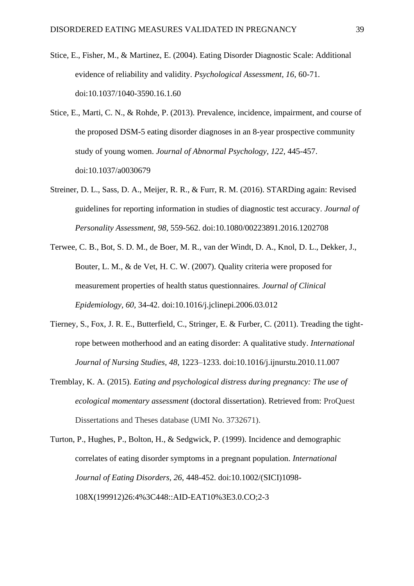- Stice, E., Fisher, M., & Martinez, E. (2004). Eating Disorder Diagnostic Scale: Additional evidence of reliability and validity. *Psychological Assessment, 16*, 60-71. doi[:10.1037/1040-3590.16.1.60](https://doi.org/10.1037/1040-3590.16.1.60)
- Stice, E., Marti, C. N., & Rohde, P. (2013). Prevalence, incidence, impairment, and course of the proposed DSM-5 eating disorder diagnoses in an 8-year prospective community study of young women. *Journal of Abnormal Psychology, 122,* 445-457. doi:10.1037/a0030679
- Streiner, D. L., Sass, D. A., Meijer, R. R., & Furr, R. M. (2016). STARDing again: Revised guidelines for reporting information in studies of diagnostic test accuracy. *Journal of Personality Assessment, 98*, 559-562. doi:10.1080/00223891.2016.1202708
- Terwee, C. B., Bot, S. D. M., de Boer, M. R., van der Windt, D. A., Knol, D. L., Dekker, J., Bouter, L. M., & de Vet, H. C. W. (2007). Quality criteria were proposed for measurement properties of health status questionnaires. *Journal of Clinical Epidemiology, 60,* 34-42. doi:10.1016/j.jclinepi.2006.03.012
- Tierney, S., Fox, J. R. E., Butterfield, C., Stringer, E. & Furber, C. (2011). Treading the tightrope between motherhood and an eating disorder: A qualitative study. *International Journal of Nursing Studies, 48*, 1223–1233. doi:10.1016/j.ijnurstu.2010.11.007
- Tremblay, K. A. (2015). *Eating and psychological distress during pregnancy: The use of ecological momentary assessment* (doctoral dissertation). Retrieved from: ProQuest Dissertations and Theses database (UMI No. 3732671).
- Turton, P., Hughes, P., Bolton, H., & Sedgwick, P. (1999). Incidence and demographic correlates of eating disorder symptoms in a pregnant population. *International Journal of Eating Disorders, 26,* 448-452. doi:10.1002/(SICI)1098- 108X(199912)26:4%3C448::AID-EAT10%3E3.0.CO;2-3